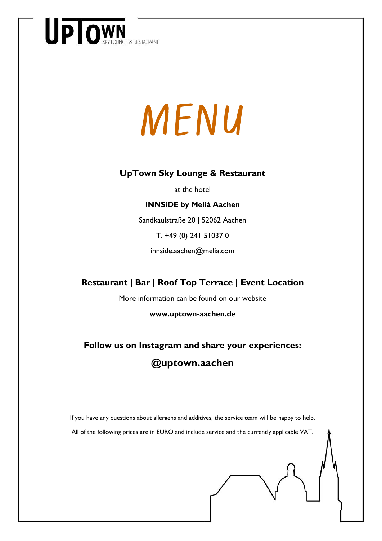

# MENU

#### **UpTown Sky Lounge & Restaurant**

at the hotel

#### **INNSiDE by Meliá Aachen**

Sandkaulstraße 20 | 52062 Aachen

T. +49 (0) 241 51037 0

innside.aachen@melia.com

#### **Restaurant | Bar | Roof Top Terrace | Event Location**

More information can be found on our website

**www.uptown-aachen.de** 

#### **Follow us on Instagram and share your experiences: @uptown.aachen**

If you have any questions about allergens and additives, the service team will be happy to help. All of the following prices are in EURO and include service and the currently applicable VAT.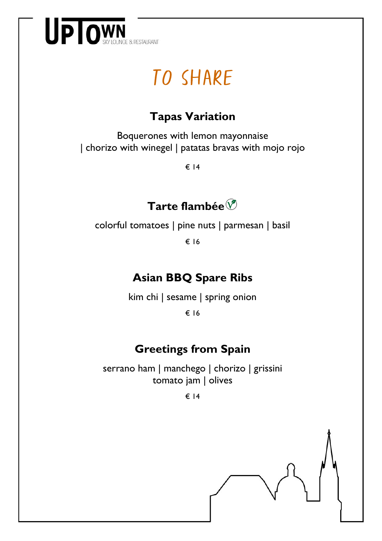

## TO SHARE

#### **Tapas Variation**

Boquerones with lemon mayonnaise | chorizo with winegel | patatas bravas with mojo rojo

€ 14

#### **Tarte flambée**

colorful tomatoes | pine nuts | parmesan | basil

€ 16

#### **Asian BBQ Spare Ribs**

kim chi | sesame | spring onion

€ 16

#### **Greetings from Spain**

serrano ham | manchego | chorizo | grissini tomato jam | olives

€ 14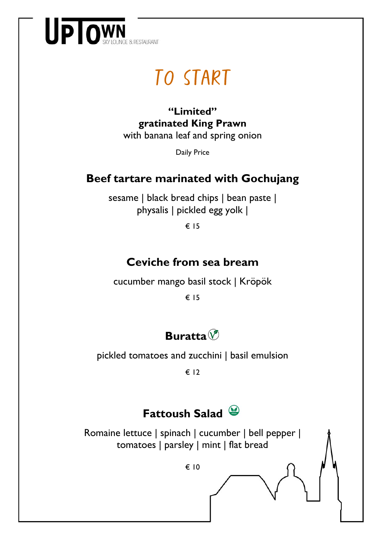

## To Start

**"Limited" gratinated King Prawn** with banana leaf and spring onion

Daily Price

#### **Beef tartare marinated with Gochujang**

sesame | black bread chips | bean paste | physalis | pickled egg yolk |

€ 15

#### **Ceviche from sea bream**

cucumber mango basil stock | Kröpök

€ 15



pickled tomatoes and zucchini | basil emulsion

€ 12

#### **Fattoush Salad**

Romaine lettuce | spinach | cucumber | bell pepper | tomatoes | parsley | mint | flat bread

€ 10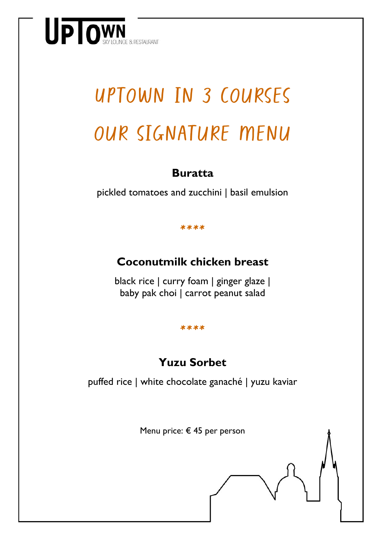

# Uptown in 3 courses our signature menu

#### **Buratta**

pickled tomatoes and zucchini | basil emulsion

\*\*\*\*

#### **Coconutmilk chicken breast**

black rice | curry foam | ginger glaze | baby pak choi | carrot peanut salad

#### \*\*\*\*

#### **Yuzu Sorbet**

puffed rice | white chocolate ganaché | yuzu kaviar

Menu price: € 45 per person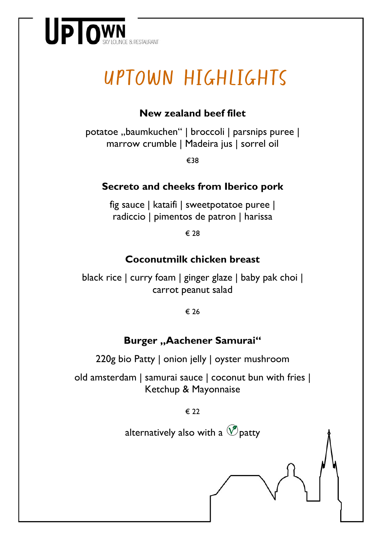

# Uptown highlights

#### **New zealand beef filet**

potatoe "baumkuchen" | broccoli | parsnips puree | marrow crumble | Madeira jus | sorrel oil

€38

#### **Secreto and cheeks from Iberico pork**

fig sauce | kataifi | sweetpotatoe puree | radiccio | pimentos de patron | harissa

€ 28

#### **Coconutmilk chicken breast**

black rice | curry foam | ginger glaze | baby pak choi | carrot peanut salad

€ 26

#### **Burger "Aachener Samurai"**

220g bio Patty | onion jelly | oyster mushroom

old amsterdam | samurai sauce | coconut bun with fries | Ketchup & Mayonnaise

€ 22

alternatively also with a  $\circledcirc$  patty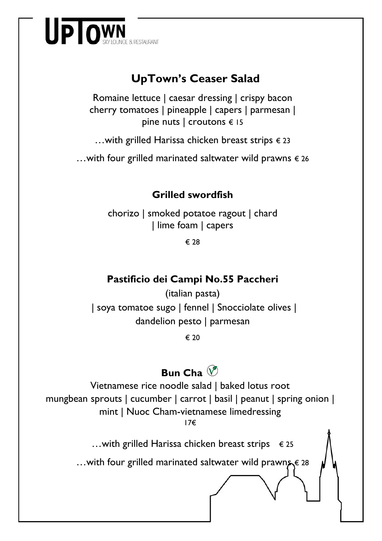

#### **UpTown's Ceaser Salad**

Romaine lettuce | caesar dressing | crispy bacon cherry tomatoes | pineapple | capers | parmesan | pine nuts | croutons € 15

…with grilled Harissa chicken breast strips  $€ 23$ 

…with four grilled marinated saltwater wild prawns  $∈$  26

#### **Grilled swordfish**

chorizo | smoked potatoe ragout | chard | lime foam | capers

€ 28

#### **Pastificio dei Campi No.55 Paccheri**

(italian pasta) | soya tomatoe sugo | fennel | Snocciolate olives | dandelion pesto | parmesan

€ 20

#### **Bun Cha**

Vietnamese rice noodle salad | baked lotus root mungbean sprouts | cucumber | carrot | basil | peanut | spring onion | mint | Nuoc Cham-vietnamese limedressing 17€

…with grilled Harissa chicken breast strips  $∈$  25

…with four grilled marinated saltwater wild prawn<sub>5</sub>€ 28